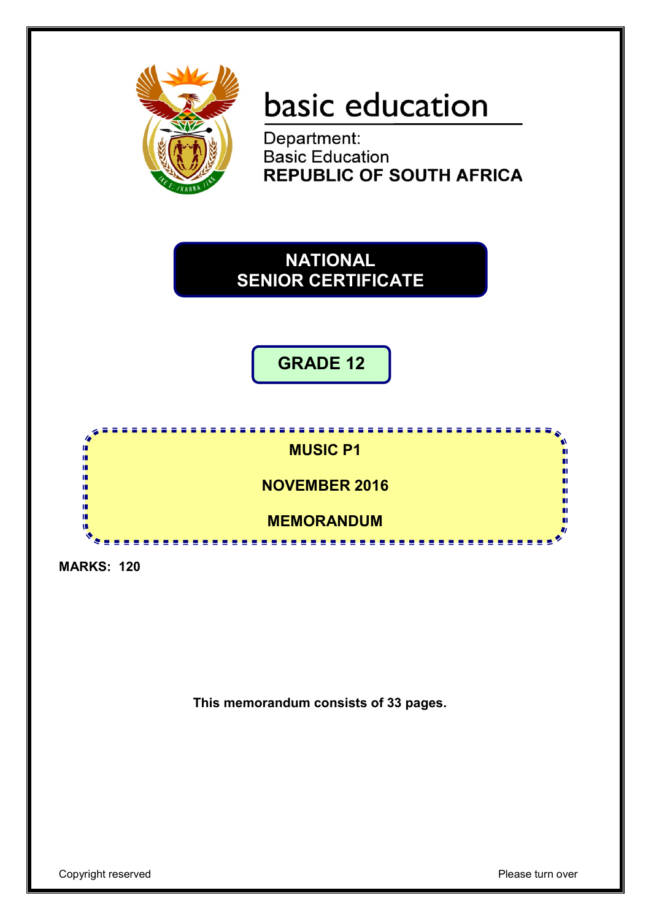

# basic education

Department:<br>Basic Education **REPUBLIC OF SOUTH AFRICA** 

# **NATIONAL SENIOR CERTIFICATE**

**GRADE 12**



**MARKS: 120**

**This memorandum consists of 33 pages.**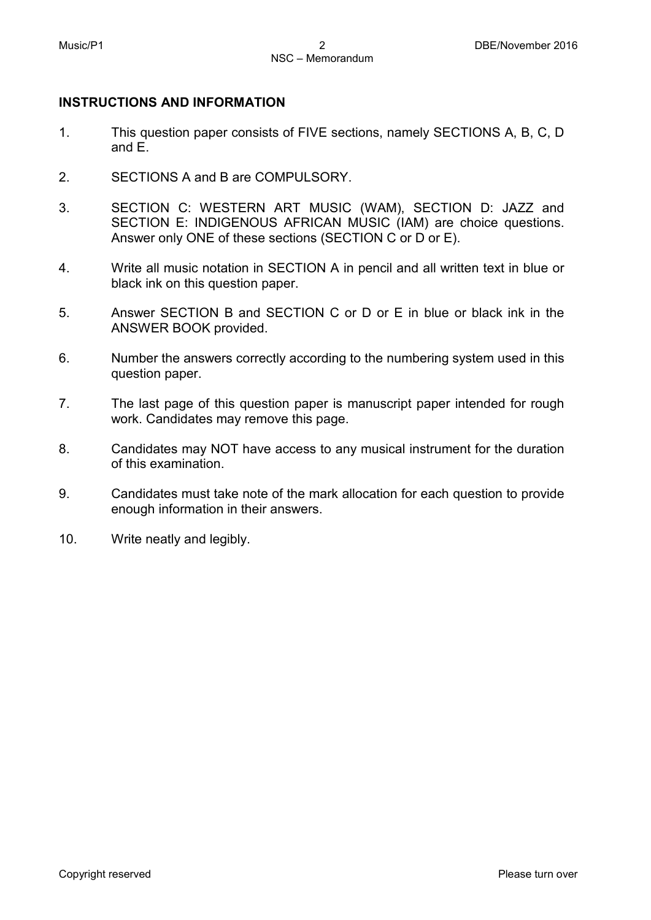#### **INSTRUCTIONS AND INFORMATION**

- 1. This question paper consists of FIVE sections, namely SECTIONS A, B, C, D and E.
- 2. SECTIONS A and B are COMPULSORY.
- 3. SECTION C: WESTERN ART MUSIC (WAM), SECTION D: JAZZ and SECTION E: INDIGENOUS AFRICAN MUSIC (IAM) are choice questions. Answer only ONE of these sections (SECTION C or D or E).
- 4. Write all music notation in SECTION A in pencil and all written text in blue or black ink on this question paper.
- 5. Answer SECTION B and SECTION C or D or E in blue or black ink in the ANSWER BOOK provided.
- 6. Number the answers correctly according to the numbering system used in this question paper.
- 7. The last page of this question paper is manuscript paper intended for rough work. Candidates may remove this page.
- 8. Candidates may NOT have access to any musical instrument for the duration of this examination.
- 9. Candidates must take note of the mark allocation for each question to provide enough information in their answers.
- 10. Write neatly and legibly.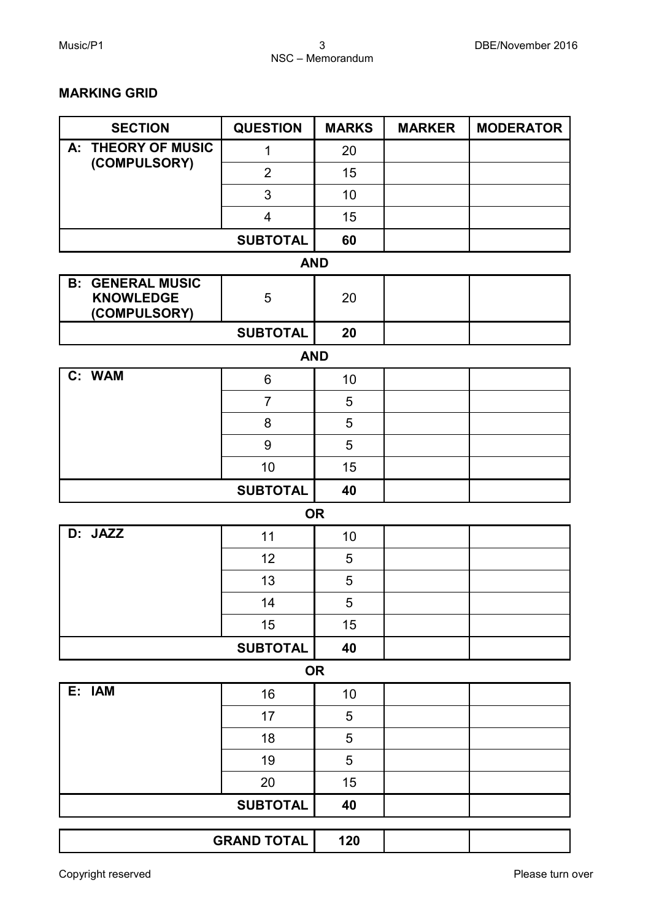#### **MARKING GRID**

| <b>SECTION</b>                                              | <b>QUESTION</b>         | <b>MARKS</b> | <b>MARKER</b> | <b>MODERATOR</b> |
|-------------------------------------------------------------|-------------------------|--------------|---------------|------------------|
| A: THEORY OF MUSIC                                          | 1                       | 20           |               |                  |
| (COMPULSORY)                                                | $\overline{2}$          | 15           |               |                  |
|                                                             | 3                       | 10           |               |                  |
|                                                             | $\overline{\mathbf{4}}$ | 15           |               |                  |
|                                                             | <b>SUBTOTAL</b>         | 60           |               |                  |
|                                                             |                         | <b>AND</b>   |               |                  |
| <b>B: GENERAL MUSIC</b><br><b>KNOWLEDGE</b><br>(COMPULSORY) | 5                       | 20           |               |                  |
|                                                             | <b>SUBTOTAL</b>         | 20           |               |                  |
|                                                             |                         | <b>AND</b>   |               |                  |
| C: WAM                                                      | 6                       | 10           |               |                  |
|                                                             | $\overline{7}$          | 5            |               |                  |
|                                                             | 8                       | 5            |               |                  |
|                                                             | 9                       | 5            |               |                  |
|                                                             | 10                      | 15           |               |                  |
|                                                             | <b>SUBTOTAL</b>         | 40           |               |                  |
|                                                             |                         | <b>OR</b>    |               |                  |
| D: JAZZ                                                     | 11                      | 10           |               |                  |
|                                                             | 12                      | 5            |               |                  |
|                                                             | 13                      | 5            |               |                  |
|                                                             | 14                      | 5            |               |                  |
|                                                             | 15                      | 15           |               |                  |
|                                                             | <b>SUBTOTAL</b>         | 40           |               |                  |
|                                                             |                         | <b>OR</b>    |               |                  |
| E: IAM                                                      | 16                      | 10           |               |                  |
|                                                             | 17                      | 5            |               |                  |
|                                                             | 18                      | 5            |               |                  |
|                                                             | 19                      | 5            |               |                  |
|                                                             | 20                      | 15           |               |                  |
|                                                             | <b>SUBTOTAL</b>         | 40           |               |                  |
|                                                             | <b>GRAND TOTAL</b>      | 120          |               |                  |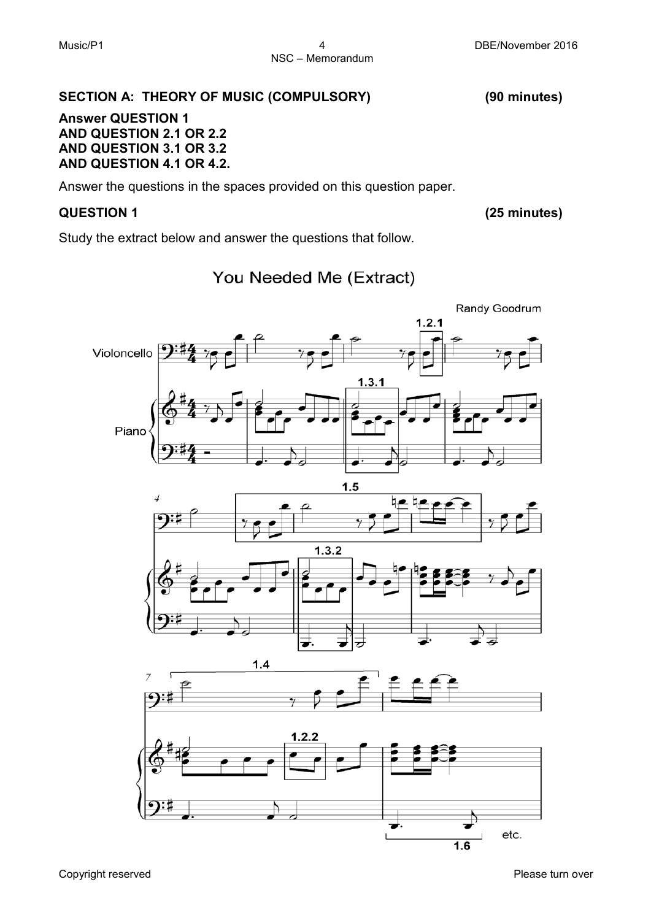### **SECTION A: THEORY OF MUSIC (COMPULSORY) (90 minutes)**

#### **Answer QUESTION 1 AND QUESTION 2.1 OR 2.2 AND QUESTION 3.1 OR 3.2 AND QUESTION 4.1 OR 4.2.**

Answer the questions in the spaces provided on this question paper.

#### **QUESTION 1 (25 minutes)**

Study the extract below and answer the questions that follow.

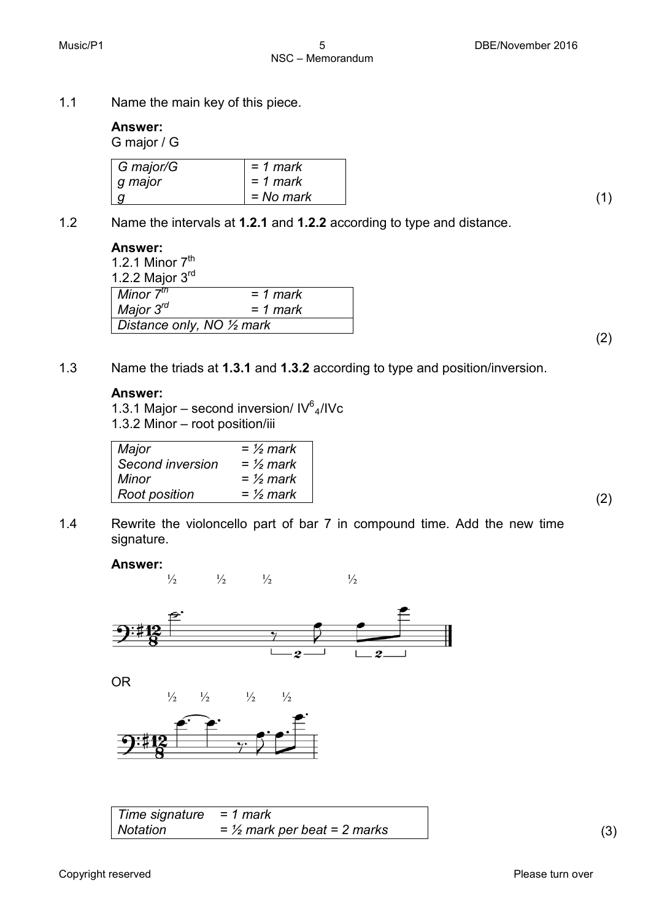1.1 Name the main key of this piece.

#### **Answer:**

G major / G

| G major/G | $= 1$ mark |
|-----------|------------|
| g major   | = 1 mark   |
|           | = No mark  |

1.2 Name the intervals at **1.2.1** and **1.2.2** according to type and distance.

#### **Answer:**

1.2.1 Minor  $7<sup>th</sup>$ 1.2.2 Major 3rd *Minor 7th Major 3rd = 1 mark = 1 mark Distance only, NO ½ mark* 

1.3 Name the triads at **1.3.1** and **1.3.2** according to type and position/inversion.

#### **Answer:**

1.3.1 Major – second inversion/  $IV^6$ <sub>4</sub>/IVc 1.3.2 Minor – root position/iii

| Major            | $=$ 1/2 mark |
|------------------|--------------|
| Second inversion | $=$ 1/2 mark |
| Minor            | $=$ 1/2 mark |
| Root position    | $=$ 1/2 mark |

1.4 Rewrite the violoncello part of bar 7 in compound time. Add the new time signature.

#### **Answer:**



| Time signature = $1$ mark |                                 |  |
|---------------------------|---------------------------------|--|
| Notation                  | $=$ 1/2 mark per beat = 2 marks |  |

(2)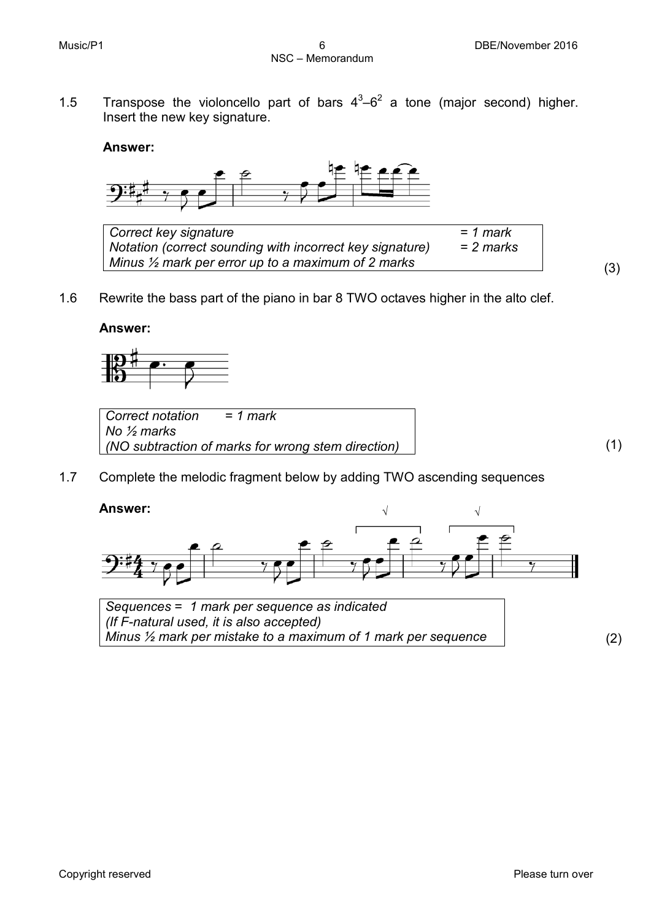1.5 Transpose the violoncello part of bars  $4^3-6^2$  a tone (major second) higher. Insert the new key signature.

#### **Answer:**



| Correct key signature                                         | $= 1$ mark  |  |
|---------------------------------------------------------------|-------------|--|
| Notation (correct sounding with incorrect key signature)      | $= 2$ marks |  |
| Minus $\frac{1}{2}$ mark per error up to a maximum of 2 marks |             |  |

1.6 Rewrite the bass part of the piano in bar 8 TWO octaves higher in the alto clef.

#### **Answer:**



*Correct notation = 1 mark No ½ marks (NO subtraction of marks for wrong stem direction)* (1)

1.7 Complete the melodic fragment below by adding TWO ascending sequences

#### **Answer:**



*Sequences* = *1 mark per sequence as indicated (If F-natural used, it is also accepted) Minus ½ mark per mistake to a maximum of 1 mark per sequence* (2)

(3)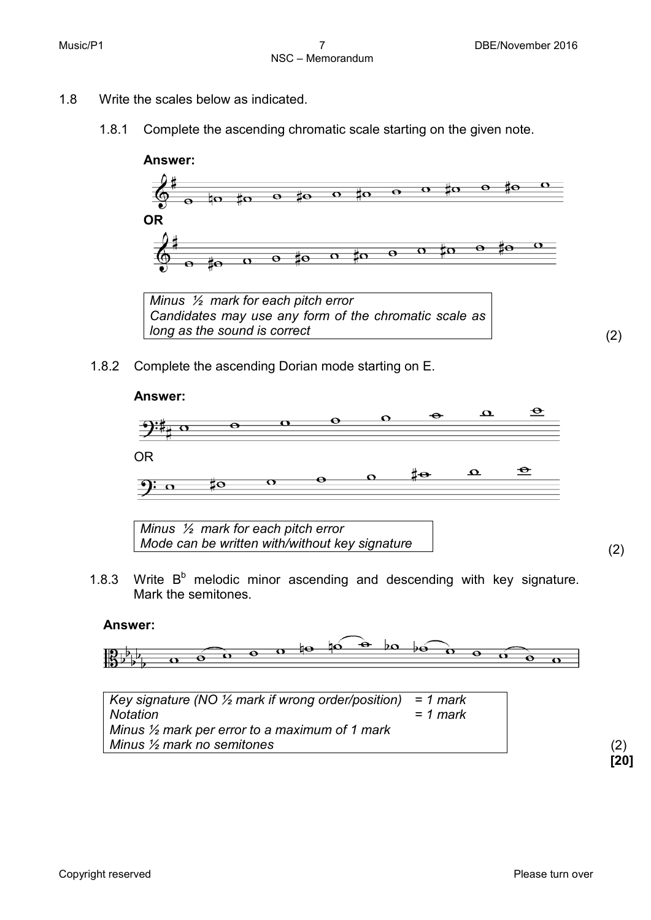- 1.8 Write the scales below as indicated.
	- 1.8.1 Complete the ascending chromatic scale starting on the given note.



*Minus ½ mark for each pitch error Candidates may use any form of the chromatic scale as long as the sound is correct* (2)

1.8.2 Complete the ascending Dorian mode starting on E.



1.8.3 Write  $B<sup>b</sup>$  melodic minor ascending and descending with key signature. Mark the semitones.

#### **Answer:**





(2) **[20]**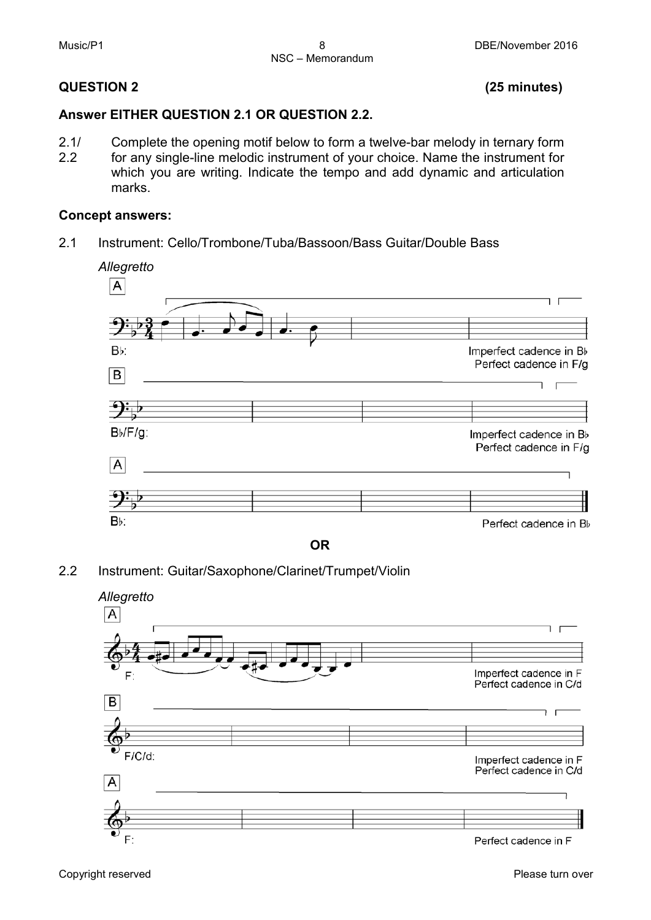#### **QUESTION 2 (25 minutes)**

#### **Answer EITHER QUESTION 2.1 OR QUESTION 2.2.**

2.1/ 2.2 Complete the opening motif below to form a twelve-bar melody in ternary form for any single-line melodic instrument of your choice. Name the instrument for which you are writing. Indicate the tempo and add dynamic and articulation marks.

#### **Concept answers:**

2.1 Instrument: Cello/Trombone/Tuba/Bassoon/Bass Guitar/Double Bass



**OR**

2.2 Instrument: Guitar/Saxophone/Clarinet/Trumpet/Violin



Copyright reserved **Please turn over the Copyright reserved** Please turn over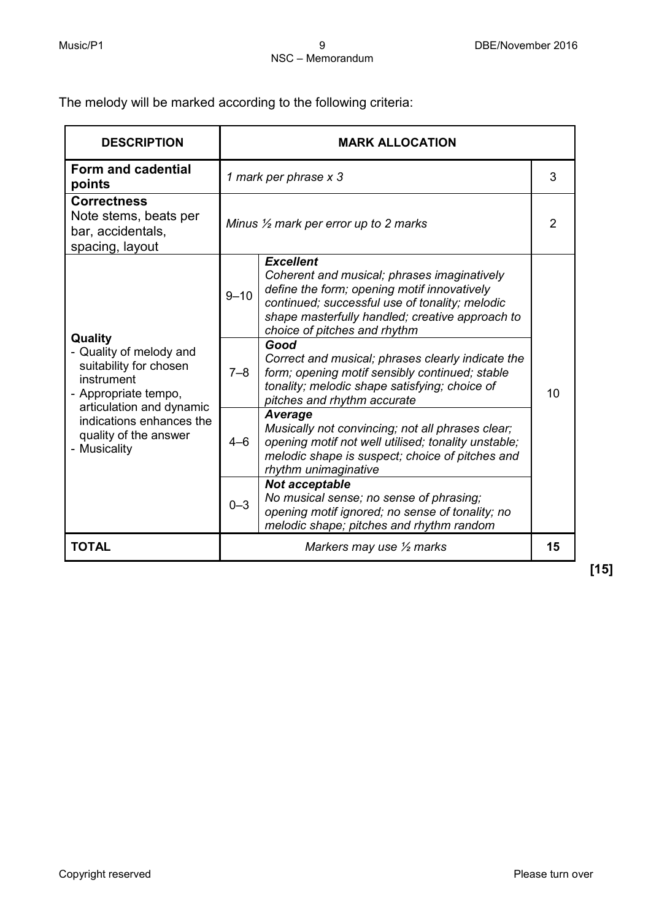The melody will be marked according to the following criteria:

| <b>DESCRIPTION</b>                                                                                                                                                                                  | <b>MARK ALLOCATION</b> |                                                                                                                                                                                                                                                     |    |  |
|-----------------------------------------------------------------------------------------------------------------------------------------------------------------------------------------------------|------------------------|-----------------------------------------------------------------------------------------------------------------------------------------------------------------------------------------------------------------------------------------------------|----|--|
| Form and cadential<br>points                                                                                                                                                                        |                        | 1 mark per phrase x 3                                                                                                                                                                                                                               |    |  |
| <b>Correctness</b><br>Note stems, beats per<br>bar, accidentals,<br>spacing, layout                                                                                                                 |                        | Minus $\frac{1}{2}$ mark per error up to 2 marks                                                                                                                                                                                                    |    |  |
| Quality<br>- Quality of melody and<br>suitability for chosen<br>instrument<br>- Appropriate tempo,<br>articulation and dynamic<br>indications enhances the<br>quality of the answer<br>- Musicality | $9 - 10$               | <b>Excellent</b><br>Coherent and musical; phrases imaginatively<br>define the form; opening motif innovatively<br>continued; successful use of tonality; melodic<br>shape masterfully handled; creative approach to<br>choice of pitches and rhythm |    |  |
|                                                                                                                                                                                                     | $7 - 8$                | Good<br>Correct and musical; phrases clearly indicate the<br>form; opening motif sensibly continued; stable<br>tonality; melodic shape satisfying; choice of<br>pitches and rhythm accurate                                                         | 10 |  |
|                                                                                                                                                                                                     | $4 - 6$                | Average<br>Musically not convincing; not all phrases clear;<br>opening motif not well utilised; tonality unstable;<br>melodic shape is suspect; choice of pitches and<br>rhythm unimaginative                                                       |    |  |
|                                                                                                                                                                                                     | $0 - 3$                | Not acceptable<br>No musical sense; no sense of phrasing;<br>opening motif ignored; no sense of tonality; no<br>melodic shape; pitches and rhythm random                                                                                            |    |  |
| <b>TOTAL</b>                                                                                                                                                                                        |                        | Markers may use $\frac{1}{2}$ marks                                                                                                                                                                                                                 | 15 |  |

**[15]**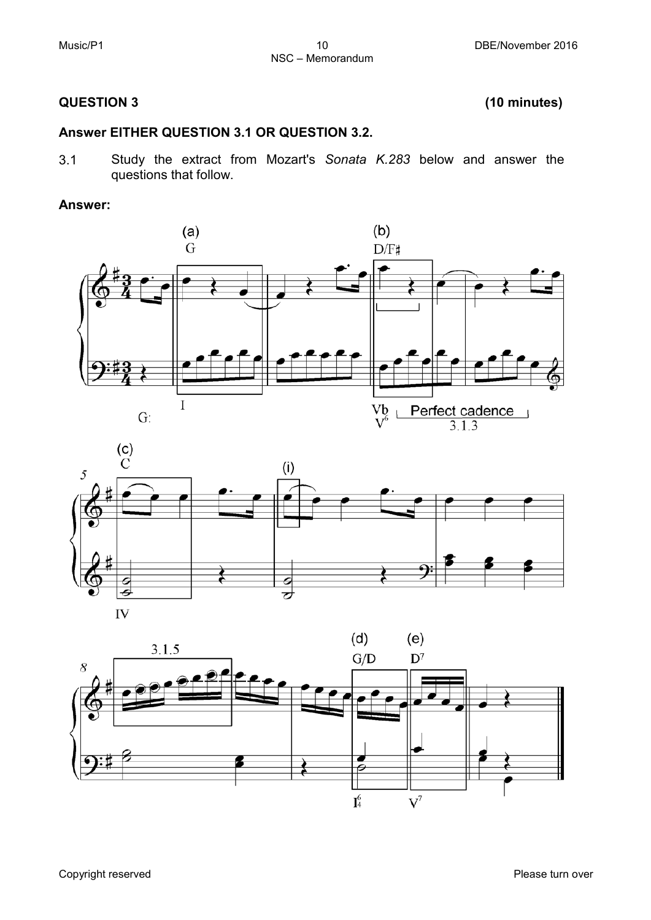#### **QUESTION 3 (10 minutes)**

#### **Answer EITHER QUESTION 3.1 OR QUESTION 3.2.**

3.1 Study the extract from Mozart's *Sonata K.283* below and answer the questions that follow.

#### **Answer:**





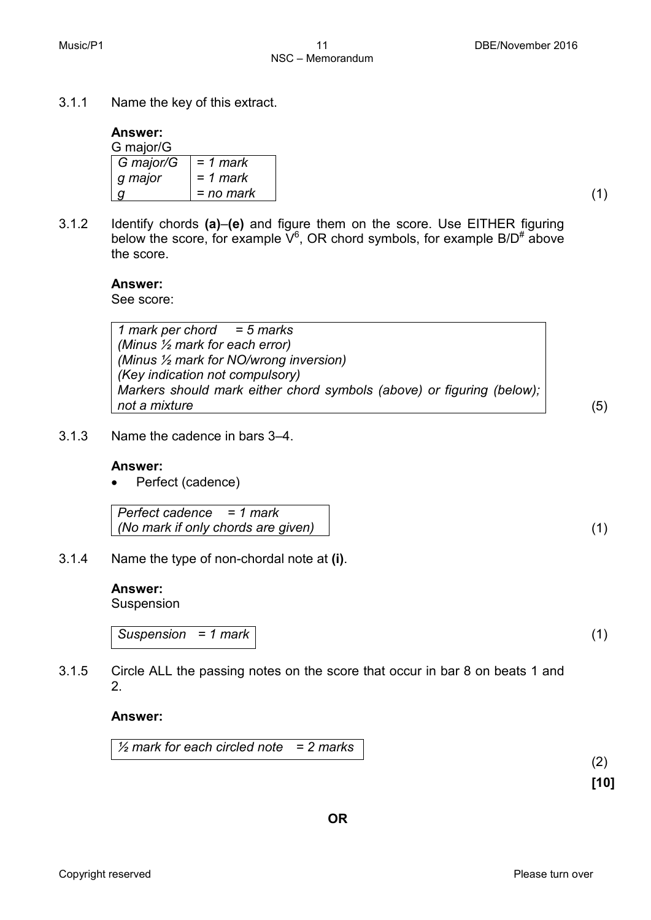3.1.1 Name the key of this extract.

#### **Answer:**

| G major/G                  |            |
|----------------------------|------------|
| $ $ G major/G $ $ = 1 mark |            |
| ∣ g major                  | $= 1$ mark |
|                            | = no mark  |

3.1.2 Identify chords **(a)**–**(e)** and figure them on the score. Use EITHER figuring below the score, for example  $V^6$ , OR chord symbols, for example B/D<sup>#</sup> above the score.

#### **Answer:**

See score:

*1 mark per chord = 5 marks (Minus ½ mark for each error) (Minus ½ mark for NO/wrong inversion) (Key indication not compulsory) Markers should mark either chord symbols (above) or figuring (below); not a mixture* (5)

3.1.3 Name the cadence in bars 3–4.

#### **Answer:**

• Perfect (cadence)

| Perfect cadence $= 1$ mark         |
|------------------------------------|
| (No mark if only chords are given) |

3.1.4 Name the type of non-chordal note at **(i)**.

#### **Answer:**

Suspension

*Suspension = 1 mark* (1)

3.1.5 Circle ALL the passing notes on the score that occur in bar 8 on beats 1 and 2.

#### **Answer:**

*½ mark for each circled note = 2 marks*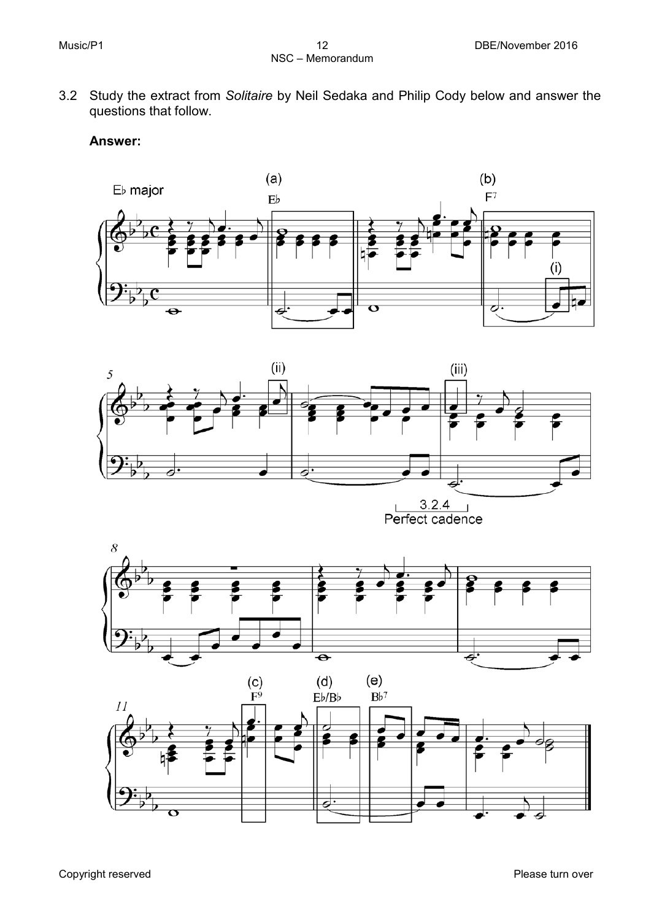3.2 Study the extract from *Solitaire* by Neil Sedaka and Philip Cody below and answer the questions that follow.

#### **Answer:**





 $\frac{3.2.4}{\text{Perfect cadence}}$ 



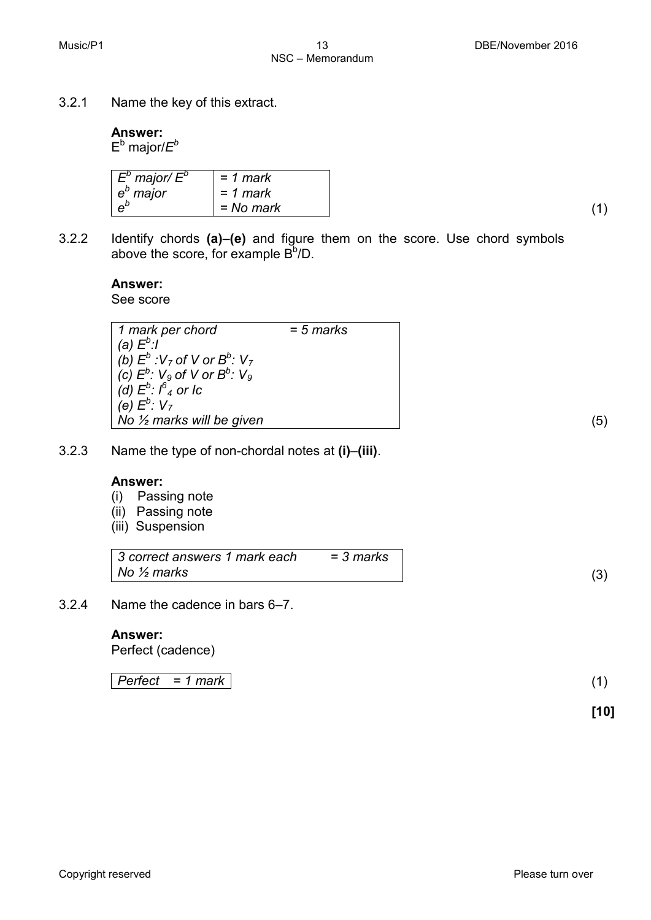| Answer:<br>$E^b$ major/ $E^b$                  |             |
|------------------------------------------------|-------------|
| $\begin{bmatrix} E^b$ major/ $E^b \ e^b$ major | $= 1$ mark  |
|                                                | $= 1$ mark  |
|                                                | $= No$ mark |

3.2.1 Name the key of this extract.

3.2.2 Identify chords **(a)**–**(e)** and figure them on the score. Use chord symbols above the score, for example  $\mathsf{B}^\mathsf{b}\!/\mathsf{D}.$ 

NSC – Memorandum

#### **Answer:**

See score

| 1 mark per chord                                                          | $= 5$ marks |  |
|---------------------------------------------------------------------------|-------------|--|
| (a) $E^b$ :/                                                              |             |  |
| (b) $E^b$ : V <sub>7</sub> of V or $B^b$ : V <sub>7</sub>                 |             |  |
| $\int$ (c) $E^b$ : V <sub>9</sub> of V or B <sup>b</sup> : V <sub>9</sub> |             |  |
| (d) $E^b$ : $\int_a^b$ or lc                                              |             |  |
| (e) $E^b$ : $V_7$                                                         |             |  |
| $\overline{\phantom{a}}$ No $\overline{\phantom{a}}$ marks will be given  |             |  |

3.2.3 Name the type of non-chordal notes at **(i)**–**(iii)**.

#### **Answer:**

- (i) Passing note
- (ii) Passing note
- (iii) Suspension

| 3 correct answers 1 mark each | = 3 marks |
|-------------------------------|-----------|
| No $\frac{1}{2}$ marks        |           |

3.2.4 Name the cadence in bars 6–7.

#### **Answer:**

Perfect (cadence)

*Perfect = 1 mark* (1)

**[10]**

*= No mark* (1)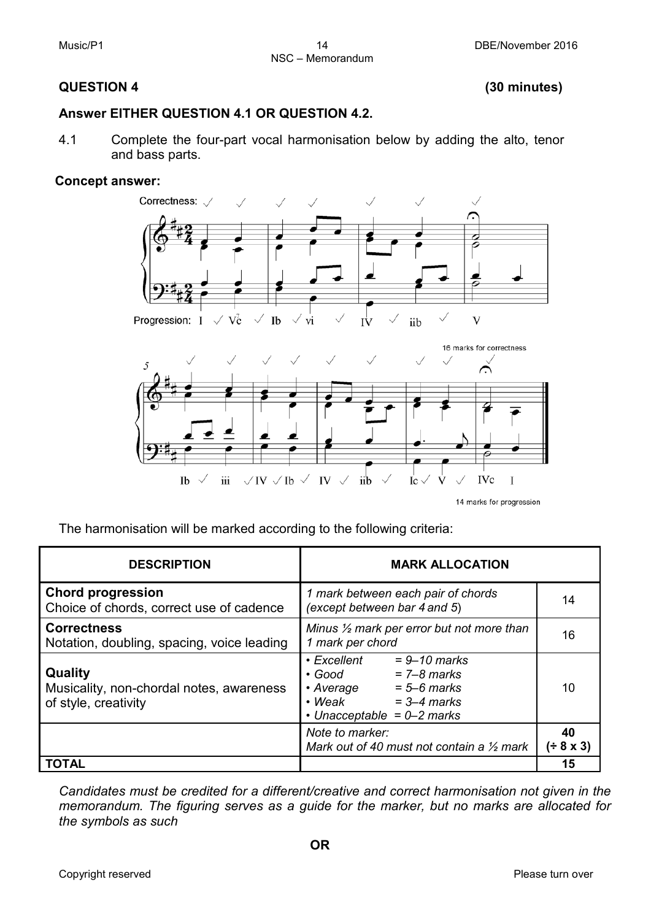#### **QUESTION 4 (30 minutes)**

#### **Answer EITHER QUESTION 4.1 OR QUESTION 4.2.**

4.1 Complete the four-part vocal harmonisation below by adding the alto, tenor and bass parts.

#### **Concept answer:**



The harmonisation will be marked according to the following criteria:

| <b>DESCRIPTION</b>                                                          | <b>MARK ALLOCATION</b>                                                                                                                                              |                 |  |
|-----------------------------------------------------------------------------|---------------------------------------------------------------------------------------------------------------------------------------------------------------------|-----------------|--|
| <b>Chord progression</b><br>Choice of chords, correct use of cadence        | 1 mark between each pair of chords<br>(except between bar 4 and 5)                                                                                                  | 14              |  |
| <b>Correctness</b><br>Notation, doubling, spacing, voice leading            | Minus $\frac{1}{2}$ mark per error but not more than<br>1 mark per chord                                                                                            | 16              |  |
| Quality<br>Musicality, non-chordal notes, awareness<br>of style, creativity | • Excellent<br>$= 9 - 10$ marks<br>$= 7 - 8$ marks<br>$\cdot$ Good<br>$= 5 - 6$ marks<br>• Average<br>$=$ 3–4 marks<br>$\cdot$ Weak<br>• Unacceptable = $0-2$ marks | 10              |  |
|                                                                             | Note to marker:<br>Mark out of 40 must not contain a $\frac{1}{2}$ mark                                                                                             | 40<br>(± 8 x 3) |  |
| TOTAL                                                                       |                                                                                                                                                                     | 15              |  |

*Candidates must be credited for a different/creative and correct harmonisation not given in the memorandum. The figuring serves as a guide for the marker, but no marks are allocated for the symbols as such*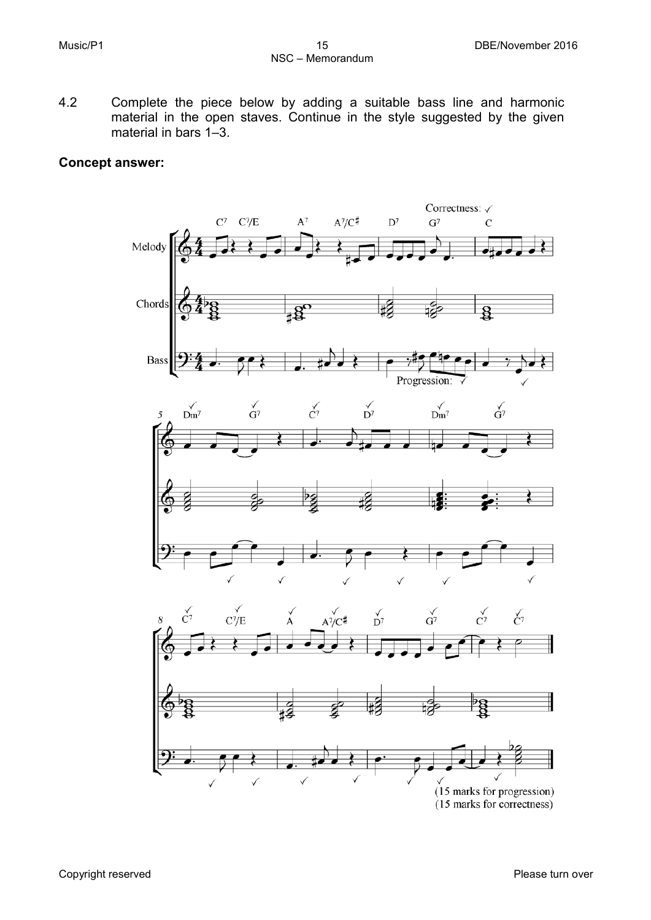4.2 Complete the piece below by adding a suitable bass line and harmonic material in the open staves. Continue in the style suggested by the given material in bars 1–3.

#### **Concept answer:**

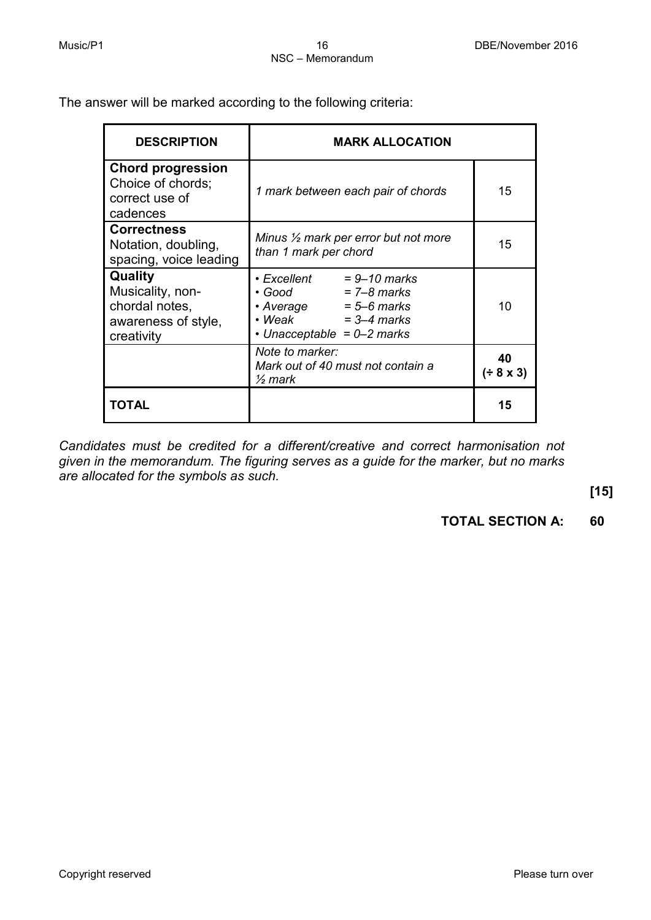The answer will be marked according to the following criteria:

| <b>DESCRIPTION</b>                                                                 | <b>MARK ALLOCATION</b>                                                                                                                                  |                 |
|------------------------------------------------------------------------------------|---------------------------------------------------------------------------------------------------------------------------------------------------------|-----------------|
| <b>Chord progression</b><br>Choice of chords;<br>correct use of<br>cadences        | 1 mark between each pair of chords                                                                                                                      | 15              |
| <b>Correctness</b><br>Notation, doubling,<br>spacing, voice leading                | Minus $\frac{1}{2}$ mark per error but not more<br>than 1 mark per chord                                                                                | 15              |
| Quality<br>Musicality, non-<br>chordal notes,<br>awareness of style,<br>creativity | • Excellent<br>$= 9 - 10$ marks<br>$= 7 - 8$ marks<br>• Good<br>• Average<br>$= 5 - 6$ marks<br>• Weak<br>$=$ 3–4 marks<br>• Unacceptable = $0-2$ marks | 10              |
|                                                                                    | Note to marker:<br>Mark out of 40 must not contain a<br>$\frac{1}{2}$ mark                                                                              | 40<br>(± 8 × 3) |
| ΤΩΤΑΙ                                                                              |                                                                                                                                                         | 15              |

*Candidates must be credited for a different/creative and correct harmonisation not given in the memorandum. The figuring serves as a guide for the marker, but no marks are allocated for the symbols as such.*

**[15]**

**TOTAL SECTION A: 60**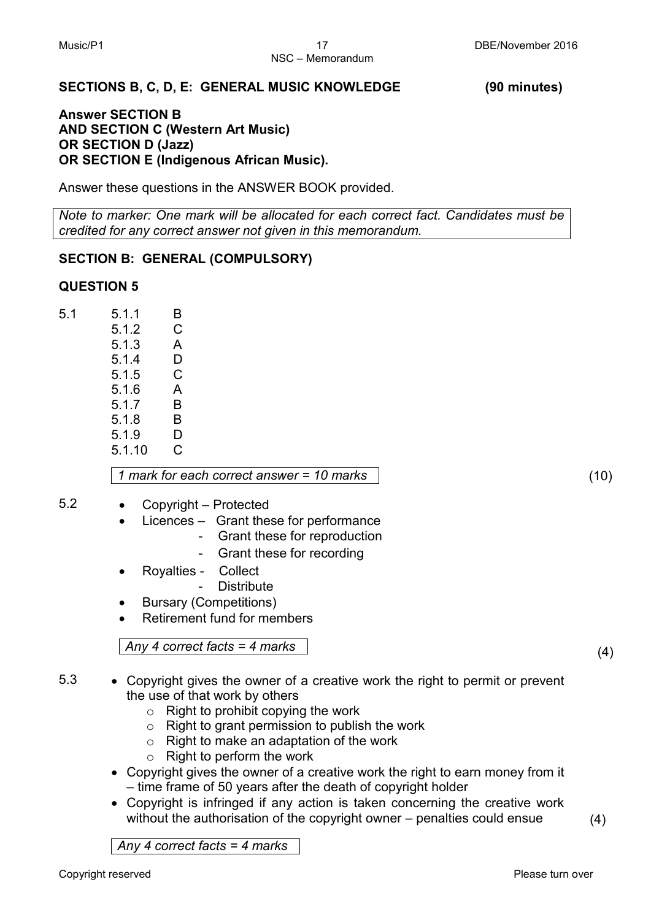#### **SECTIONS B, C, D, E: GENERAL MUSIC KNOWLEDGE (90 minutes)**

#### **Answer SECTION B AND SECTION C (Western Art Music) OR SECTION D (Jazz) OR SECTION E (Indigenous African Music).**

Answer these questions in the ANSWER BOOK provided.

*Note to marker: One mark will be allocated for each correct fact. Candidates must be credited for any correct answer not given in this memorandum.*

#### **SECTION B: GENERAL (COMPULSORY)**

#### **QUESTION 5**

5.1 5.1.1 B 5.1.2 C 5.1.3 A 5.14 D 5.1.5 C 5.1.6 A 5.1.7 B 5.1.8 B 5.1.9 D<br>5.1.10 C  $5.1.10$ 

*1 mark for each correct answer = 10 marks* (10)

- 5.2 Copyright Protected
	- Licences Grant these for performance
		- Grant these for reproduction
		- Grant these for recording
	- Royalties Collect
		- **Distribute**
	- Bursary (Competitions)
	- Retirement fund for members

*Any 4 correct facts = 4 marks* (4)

- 5.3 Copyright gives the owner of a creative work the right to permit or prevent the use of that work by others
	- $\circ$  Right to prohibit copying the work
	- o Right to grant permission to publish the work
	- o Right to make an adaptation of the work
	- o Right to perform the work
	- Copyright gives the owner of a creative work the right to earn money from it – time frame of 50 years after the death of copyright holder
	- Copyright is infringed if any action is taken concerning the creative work without the authorisation of the copyright owner – penalties could ensue

*Any 4 correct facts = 4 marks*

(4)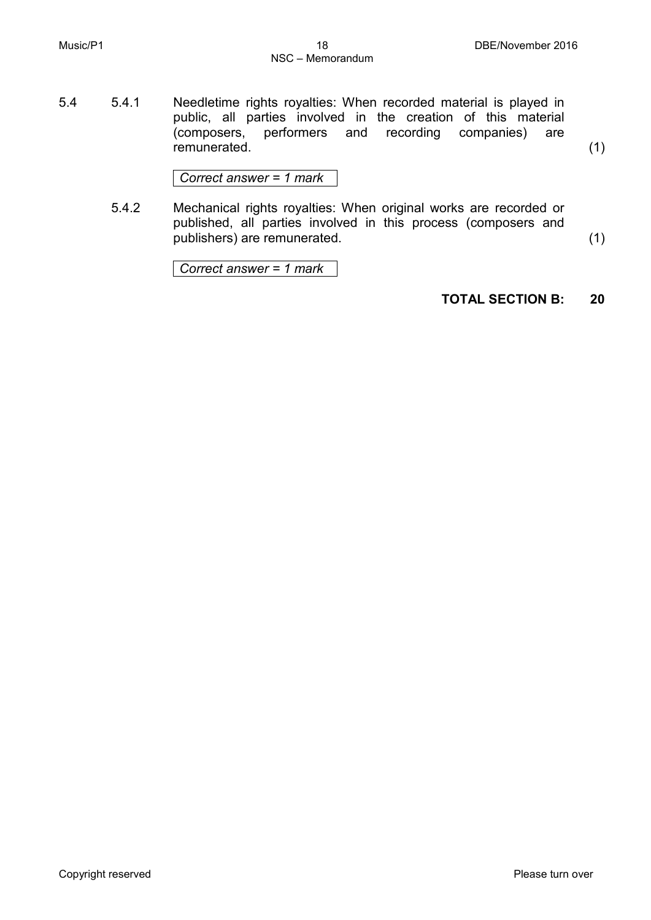5.4 5.4.1 Needletime rights royalties: When recorded material is played in public, all parties involved in the creation of this material (composers, performers and recording companies) are remunerated.

(1)

*Correct answer = 1 mark*

5.4.2 Mechanical rights royalties: When original works are recorded or published, all parties involved in this process (composers and publishers) are remunerated.

(1)

*Correct answer = 1 mark*

#### **TOTAL SECTION B: 20**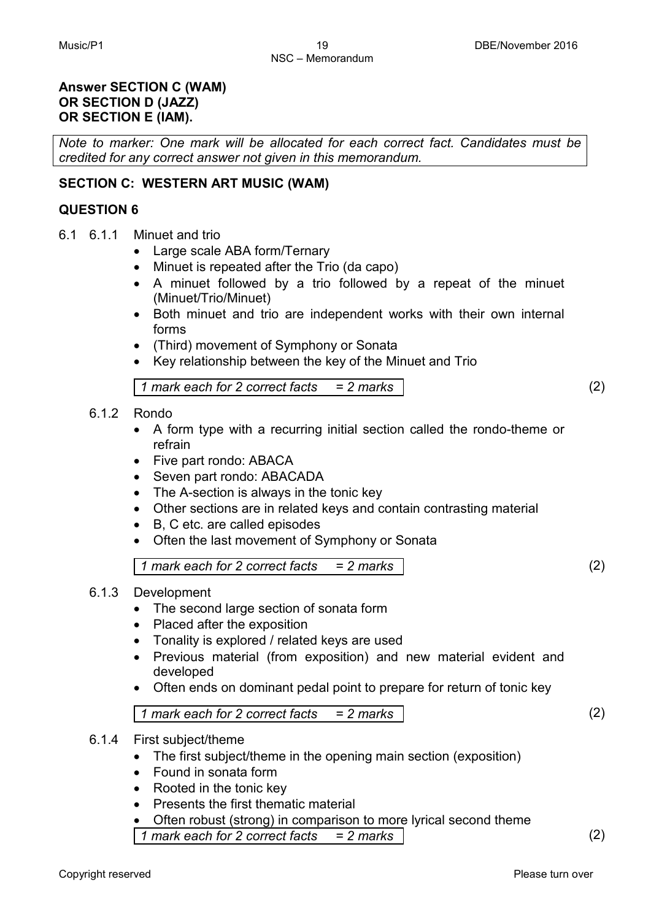#### **Answer SECTION C (WAM) OR SECTION D (JAZZ) OR SECTION E (IAM).**

*Note to marker: One mark will be allocated for each correct fact. Candidates must be credited for any correct answer not given in this memorandum.*

#### **SECTION C: WESTERN ART MUSIC (WAM)**

#### **QUESTION 6**

- 6.1 6.1.1 Minuet and trio
	- Large scale ABA form/Ternary
	- Minuet is repeated after the Trio (da capo)
	- A minuet followed by a trio followed by a repeat of the minuet (Minuet/Trio/Minuet)
	- Both minuet and trio are independent works with their own internal forms
	- (Third) movement of Symphony or Sonata
	- Key relationship between the key of the Minuet and Trio

*1 mark each for 2 correct facts = 2 marks* (2)

#### 6.1.2 Rondo

- A form type with a recurring initial section called the rondo-theme or refrain
- Five part rondo: ABACA
- Seven part rondo: ABACADA
- The A-section is always in the tonic key
- Other sections are in related keys and contain contrasting material
- B, C etc. are called episodes
- Often the last movement of Symphony or Sonata

*1 mark each for 2 correct facts = 2 marks* (2)

- 6.1.3 Development
	- The second large section of sonata form
	- Placed after the exposition
	- Tonality is explored / related keys are used
	- Previous material (from exposition) and new material evident and developed
	- Often ends on dominant pedal point to prepare for return of tonic key

*1 mark each for 2 correct facts = 2 marks* (2)

#### 6.1.4 First subject/theme

- The first subject/theme in the opening main section (exposition)
- Found in sonata form
- Rooted in the tonic key
- Presents the first thematic material
- Often robust (strong) in comparison to more lyrical second theme *1 mark each for 2 correct facts = 2 marks* (2)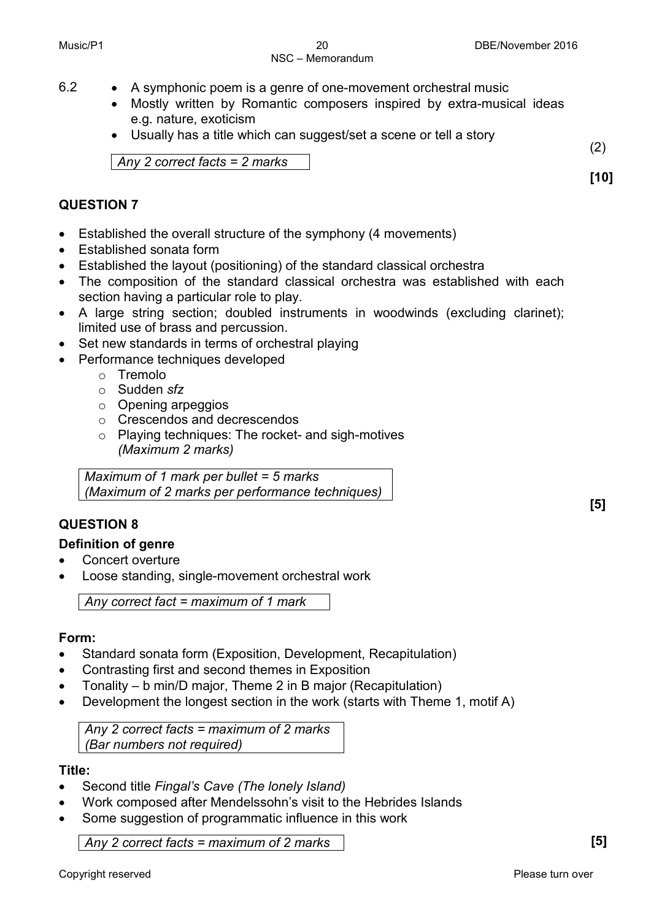- 6.2 A symphonic poem is a genre of one-movement orchestral music
	- Mostly written by Romantic composers inspired by extra-musical ideas e.g. nature, exoticism
	- Usually has a title which can suggest/set a scene or tell a story

*Any 2 correct facts = 2 marks*

#### **QUESTION 7**

- Established the overall structure of the symphony (4 movements)
- Established sonata form
- Established the layout (positioning) of the standard classical orchestra
- The composition of the standard classical orchestra was established with each section having a particular role to play.
- A large string section; doubled instruments in woodwinds (excluding clarinet); limited use of brass and percussion.
- Set new standards in terms of orchestral playing
- Performance techniques developed
	- o Tremolo
	- o Sudden *sfz*
	- o Opening arpeggios
	- o Crescendos and decrescendos
	- o Playing techniques: The rocket- and sigh-motives *(Maximum 2 marks)*

*Maximum of 1 mark per bullet = 5 marks (Maximum of 2 marks per performance techniques)*

#### **QUESTION 8**

#### **Definition of genre**

- Concert overture
- Loose standing, single-movement orchestral work

*Any correct fact = maximum of 1 mark*

#### **Form:**

- Standard sonata form (Exposition, Development, Recapitulation)
- Contrasting first and second themes in Exposition
- Tonality b min/D major, Theme 2 in B major (Recapitulation)
- Development the longest section in the work (starts with Theme 1, motif A)

*Any 2 correct facts = maximum of 2 marks (Bar numbers not required)*

#### **Title:**

- Second title *Fingal's Cave (The lonely Island)*
- Work composed after Mendelssohn's visit to the Hebrides Islands
- Some suggestion of programmatic influence in this work

*Any 2 correct facts = maximum of 2 marks* **[5]**

**[5]**

(2)

**[10]**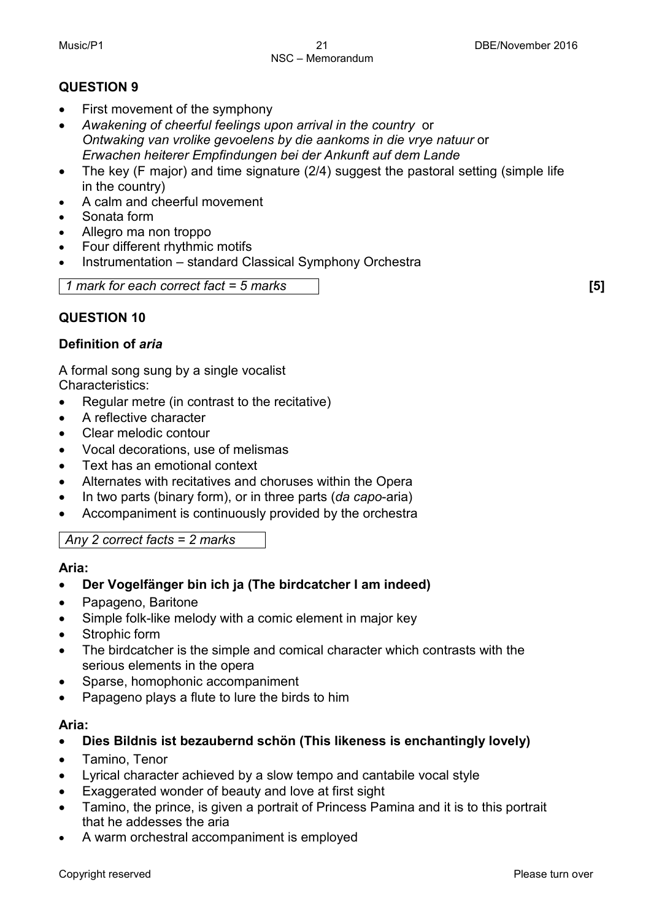#### **QUESTION 9**

- First movement of the symphony
- *Awakening of cheerful feelings upon arrival in the country* or *Ontwaking van vrolike gevoelens by die aankoms in die vrye natuur* or *Erwachen heiterer Empfindungen bei der Ankunft auf dem Lande*
- The key (F major) and time signature (2/4) suggest the pastoral setting (simple life in the country)
- A calm and cheerful movement
- Sonata form
- Allegro ma non troppo
- Four different rhythmic motifs
- Instrumentation standard Classical Symphony Orchestra

*1 mark for each correct fact = 5 marks* **[5]**

#### **QUESTION 10**

#### **Definition of** *aria*

A formal song sung by a single vocalist Characteristics:

- Regular metre (in contrast to the recitative)
- A reflective character
- Clear melodic contour
- Vocal decorations, use of melismas
- Text has an emotional context
- Alternates with recitatives and choruses within the Opera
- In two parts (binary form), or in three parts (*da capo*-aria)
- Accompaniment is continuously provided by the orchestra

*Any 2 correct facts = 2 marks*

#### **Aria:**

- **Der Vogelfänger bin ich ja (The birdcatcher I am indeed)**
- Papageno, Baritone
- Simple folk-like melody with a comic element in major key
- Strophic form
- The birdcatcher is the simple and comical character which contrasts with the serious elements in the opera
- Sparse, homophonic accompaniment
- Papageno plays a flute to lure the birds to him

#### **Aria:**

- **Dies Bildnis ist bezaubernd schön (This likeness is enchantingly lovely)**
- Tamino, Tenor
- Lyrical character achieved by a slow tempo and cantabile vocal style
- Exaggerated wonder of beauty and love at first sight
- Tamino, the prince, is given a portrait of Princess Pamina and it is to this portrait that he addesses the aria
- A warm orchestral accompaniment is employed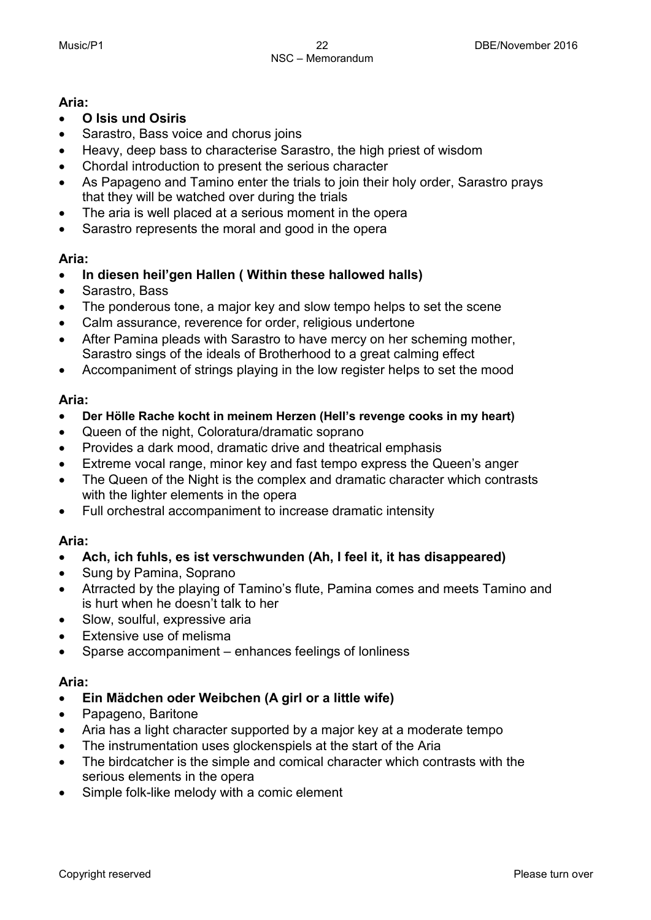#### **Aria:**

- **O Isis und Osiris**
- Sarastro, Bass voice and chorus joins
- Heavy, deep bass to characterise Sarastro, the high priest of wisdom
- Chordal introduction to present the serious character
- As Papageno and Tamino enter the trials to join their holy order, Sarastro prays that they will be watched over during the trials
- The aria is well placed at a serious moment in the opera
- Sarastro represents the moral and good in the opera

#### **Aria:**

- **In diesen heil'gen Hallen ( Within these hallowed halls)**
- Sarastro, Bass
- The ponderous tone, a major key and slow tempo helps to set the scene
- Calm assurance, reverence for order, religious undertone
- After Pamina pleads with Sarastro to have mercy on her scheming mother, Sarastro sings of the ideals of Brotherhood to a great calming effect
- Accompaniment of strings playing in the low register helps to set the mood

#### **Aria:**

- **Der Hölle Rache kocht in meinem Herzen (Hell's revenge cooks in my heart)**
- Queen of the night, Coloratura/dramatic soprano
- Provides a dark mood, dramatic drive and theatrical emphasis
- Extreme vocal range, minor key and fast tempo express the Queen's anger
- The Queen of the Night is the complex and dramatic character which contrasts with the lighter elements in the opera
- Full orchestral accompaniment to increase dramatic intensity

#### **Aria:**

- **Ach, ich fuhls, es ist verschwunden (Ah, I feel it, it has disappeared)**
- Sung by Pamina, Soprano
- Atrracted by the playing of Tamino's flute, Pamina comes and meets Tamino and is hurt when he doesn't talk to her
- Slow, soulful, expressive aria
- Extensive use of melisma
- Sparse accompaniment enhances feelings of lonliness

#### **Aria:**

- **Ein Mädchen oder Weibchen (A girl or a little wife)**
- Papageno, Baritone
- Aria has a light character supported by a major key at a moderate tempo
- The instrumentation uses glockenspiels at the start of the Aria
- The birdcatcher is the simple and comical character which contrasts with the serious elements in the opera
- Simple folk-like melody with a comic element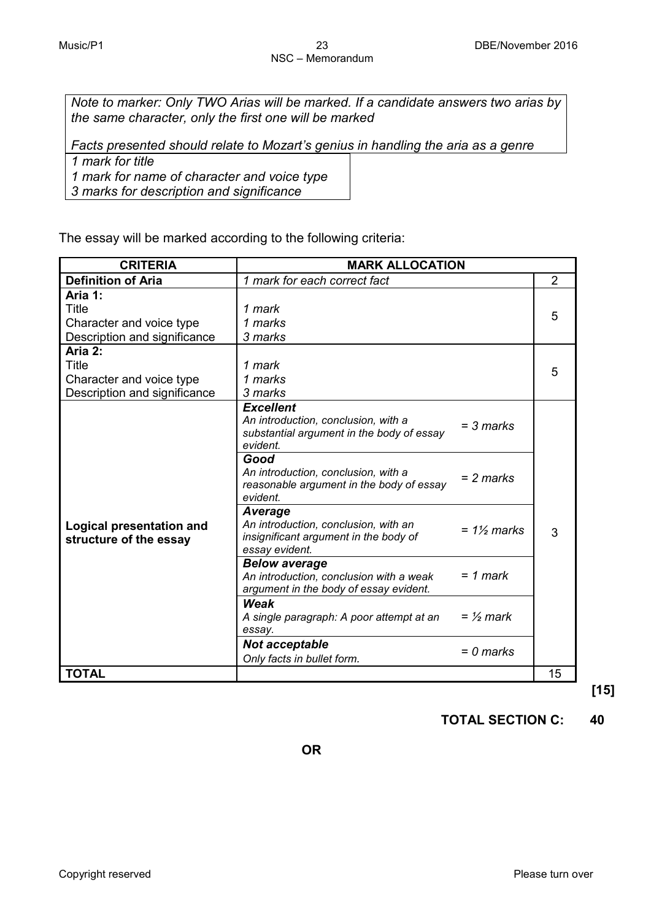*Note to marker: Only TWO Arias will be marked. If a candidate answers two arias by the same character, only the first one will be marked*

*Facts presented should relate to Mozart's genius in handling the aria as a genre* 

*1 mark for title* 

*1 mark for name of character and voice type*

*3 marks for description and significance*

The essay will be marked according to the following criteria:

| <b>CRITERIA</b>                                                                     | <b>MARK ALLOCATION</b>                                                                                                                      |                |
|-------------------------------------------------------------------------------------|---------------------------------------------------------------------------------------------------------------------------------------------|----------------|
| <b>Definition of Aria</b>                                                           | 1 mark for each correct fact                                                                                                                | $\overline{2}$ |
| Aria 1:<br>Title<br>Character and voice type<br>Description and significance        | 1 mark<br>1 marks<br>3 marks                                                                                                                | 5              |
| Aria 2:<br><b>Title</b><br>Character and voice type<br>Description and significance | 1 mark<br>1 marks<br>3 marks                                                                                                                | 5              |
|                                                                                     | <b>Excellent</b><br>An introduction, conclusion, with a<br>$= 3$ marks<br>substantial argument in the body of essay<br>evident.             |                |
|                                                                                     | Good<br>An introduction, conclusion, with a<br>$= 2$ marks<br>reasonable argument in the body of essay<br>evident.                          |                |
| Logical presentation and<br>structure of the essay                                  | <b>Average</b><br>An introduction, conclusion, with an<br>$= 1\frac{1}{2}$ marks<br>insignificant argument in the body of<br>essay evident. | 3              |
|                                                                                     | <b>Below average</b><br>$= 1$ mark<br>An introduction, conclusion with a weak<br>argument in the body of essay evident.                     |                |
|                                                                                     | Weak<br>$=$ 1/2 mark<br>A single paragraph: A poor attempt at an<br>essay.                                                                  |                |
|                                                                                     | <b>Not acceptable</b><br>$= 0$ marks<br>Only facts in bullet form.                                                                          |                |
| <b>TOTAL</b>                                                                        |                                                                                                                                             | 15             |

**[15]**

**TOTAL SECTION C: 40**

**OR**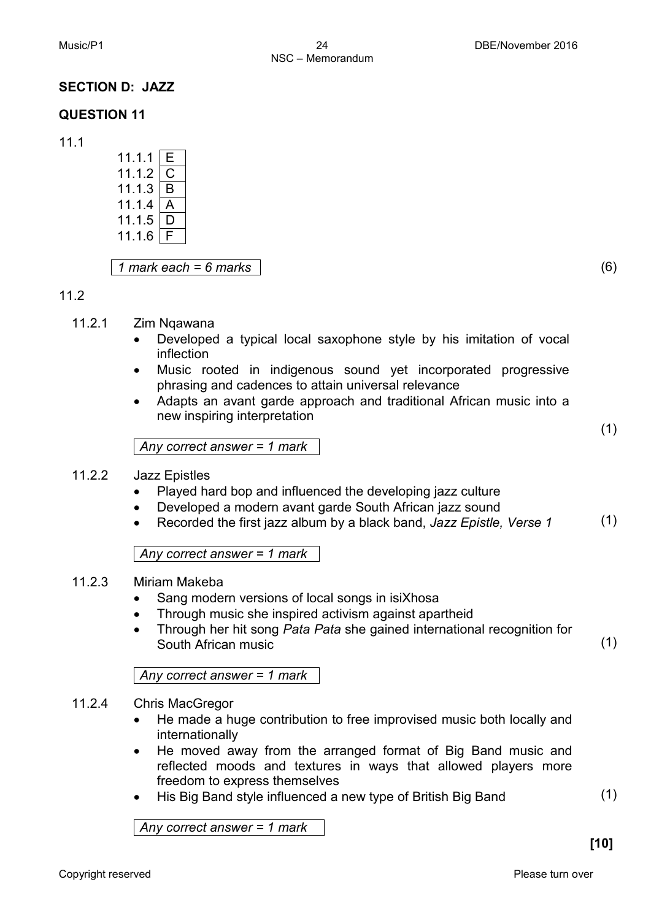#### **SECTION D: JAZZ**

#### **QUESTION 11**

11.1

| 11.1.1 | F |  |
|--------|---|--|
| 11.1.2 |   |  |
| 11.1.3 | R |  |
| 11.1.4 |   |  |
| 11.1.5 |   |  |
| 11.1.6 |   |  |
|        |   |  |

*1 mark each = 6 marks* (6)

#### 11.2

- 11.2.1 Zim Nqawana
	- Developed a typical local saxophone style by his imitation of vocal inflection
	- Music rooted in indigenous sound yet incorporated progressive phrasing and cadences to attain universal relevance
	- Adapts an avant garde approach and traditional African music into a new inspiring interpretation

*Any correct answer = 1 mark*

#### 11.2.2 Jazz Epistles

- Played hard bop and influenced the developing jazz culture
- Developed a modern avant garde South African jazz sound
- Recorded the first jazz album by a black band, *Jazz Epistle, Verse 1* (1)

*Any correct answer = 1 mark*

#### 11.2.3 Miriam Makeba

- Sang modern versions of local songs in isiXhosa
- Through music she inspired activism against apartheid
- Through her hit song *Pata Pata* she gained international recognition for South African music

*Any correct answer = 1 mark*

#### 11.2.4 Chris MacGregor

- He made a huge contribution to free improvised music both locally and internationally
- He moved away from the arranged format of Big Band music and reflected moods and textures in ways that allowed players more freedom to express themselves
- His Big Band style influenced a new type of British Big Band

*Any correct answer = 1 mark*

(1)

(1)

(1)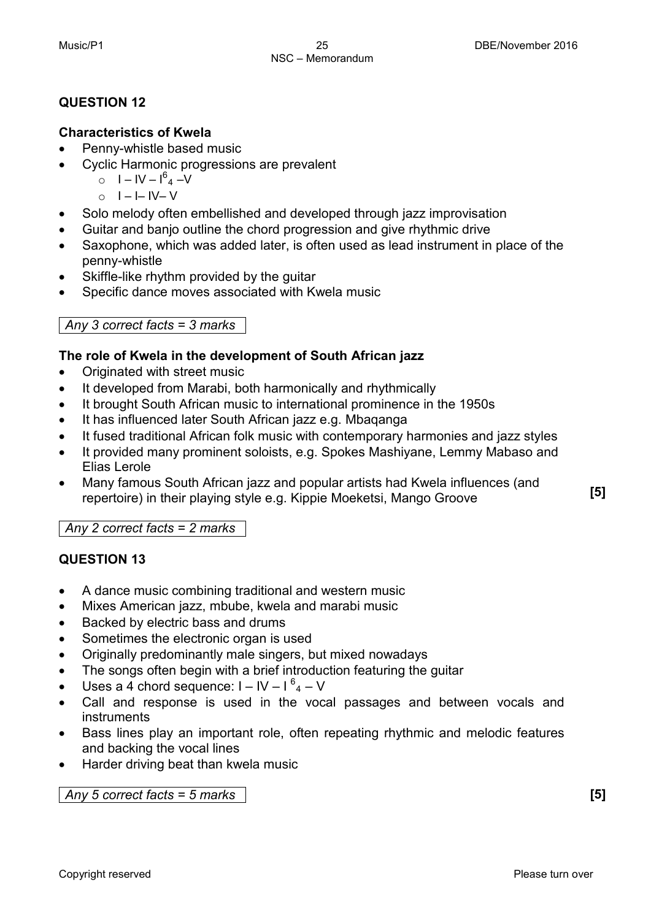#### **QUESTION 12**

#### **Characteristics of Kwela**

- Penny-whistle based music
- Cyclic Harmonic progressions are prevalent
	- $0$   $I IV I^{6}$ <sub>4</sub>  $-V$
	- $\circ$  I I– IV– V
- Solo melody often embellished and developed through jazz improvisation
- Guitar and banjo outline the chord progression and give rhythmic drive
- Saxophone, which was added later, is often used as lead instrument in place of the penny-whistle
- Skiffle-like rhythm provided by the guitar
- Specific dance moves associated with Kwela music

#### *Any 3 correct facts = 3 marks*

#### **The role of Kwela in the development of South African jazz**

- Originated with street music
- It developed from Marabi, both harmonically and rhythmically
- It brought South African music to international prominence in the 1950s
- It has influenced later South African jazz e.g. Mbaqanga
- It fused traditional African folk music with contemporary harmonies and jazz styles
- It provided many prominent soloists, e.g. Spokes Mashiyane, Lemmy Mabaso and Elias Lerole
- Many famous South African jazz and popular artists had Kwela influences (and repertoire) in their playing style e.g. Kippie Moeketsi, Mango Groove **[5]**

*Any 2 correct facts = 2 marks*

#### **QUESTION 13**

- A dance music combining traditional and western music
- Mixes American jazz, mbube, kwela and marabi music
- Backed by electric bass and drums
- Sometimes the electronic organ is used
- Originally predominantly male singers, but mixed nowadays
- The songs often begin with a brief introduction featuring the guitar
- Uses a 4 chord sequence:  $I IV I^6$ <sub>4</sub> V
- Call and response is used in the vocal passages and between vocals and instruments
- Bass lines play an important role, often repeating rhythmic and melodic features and backing the vocal lines
- Harder driving beat than kwela music

*Any 5 correct facts = 5 marks* **[5]**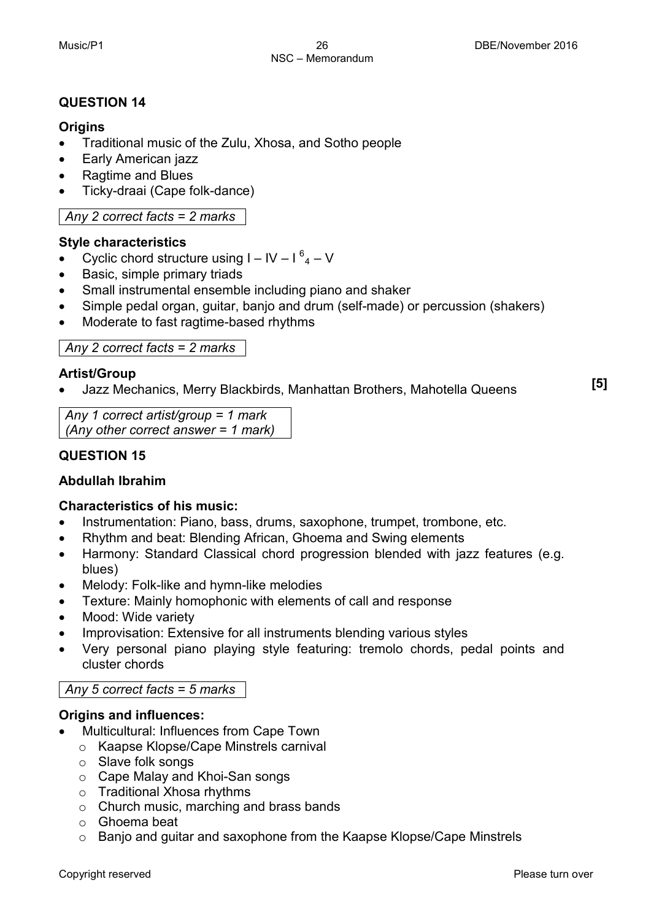#### **QUESTION 14**

#### **Origins**

- Traditional music of the Zulu, Xhosa, and Sotho people
- Early American jazz
- Ragtime and Blues
- Ticky-draai (Cape folk-dance)

#### *Any 2 correct facts = 2 marks*

#### **Style characteristics**

- Cyclic chord structure using  $I IV I^6$ <sub>4</sub> V
- Basic, simple primary triads
- Small instrumental ensemble including piano and shaker
- Simple pedal organ, guitar, banjo and drum (self-made) or percussion (shakers)
- Moderate to fast ragtime-based rhythms

*Any 2 correct facts = 2 marks*

#### **Artist/Group**

• Jazz Mechanics, Merry Blackbirds, Manhattan Brothers, Mahotella Queens **[5]**

*Any 1 correct artist/group = 1 mark (Any other correct answer = 1 mark)*

#### **QUESTION 15**

#### **Abdullah Ibrahim**

#### **Characteristics of his music:**

- Instrumentation: Piano, bass, drums, saxophone, trumpet, trombone, etc.
- Rhythm and beat: Blending African, Ghoema and Swing elements
- Harmony: Standard Classical chord progression blended with jazz features (e.g. blues)
- Melody: Folk-like and hymn-like melodies
- Texture: Mainly homophonic with elements of call and response
- Mood: Wide variety
- Improvisation: Extensive for all instruments blending various styles
- Very personal piano playing style featuring: tremolo chords, pedal points and cluster chords

#### *Any 5 correct facts = 5 marks*

#### **Origins and influences:**

- Multicultural: Influences from Cape Town
	- o Kaapse Klopse/Cape Minstrels carnival
	- o Slave folk songs
	- o Cape Malay and Khoi-San songs
	- o Traditional Xhosa rhythms
	- o Church music, marching and brass bands
	- o Ghoema beat
	- o Banjo and guitar and saxophone from the Kaapse Klopse/Cape Minstrels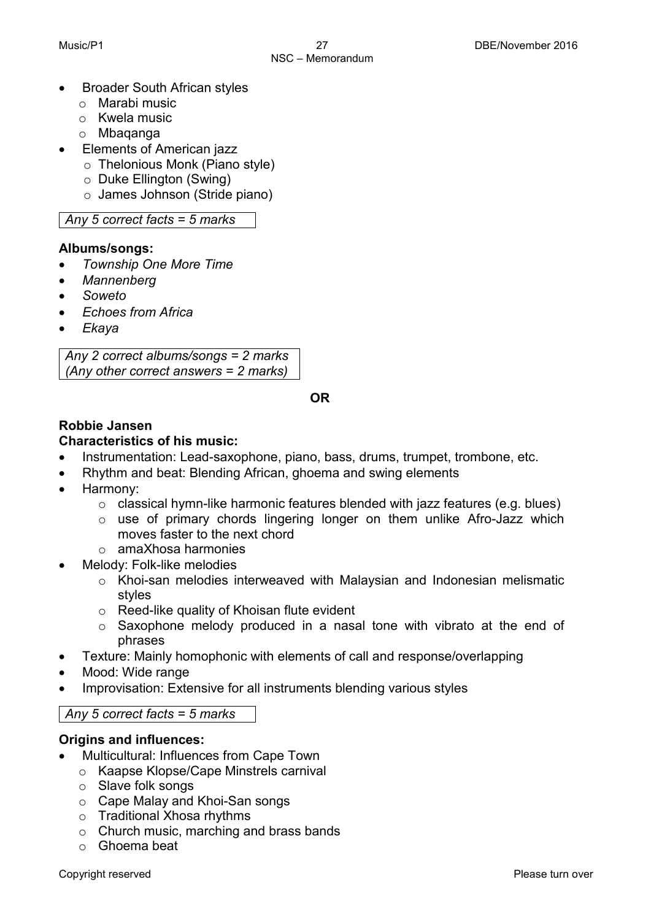- Broader South African styles
	- o Marabi music
	- o Kwela music
	- o Mbaqanga
	- Elements of American jazz
		- o Thelonious Monk (Piano style)
		- o Duke Ellington (Swing)
		- o James Johnson (Stride piano)

*Any 5 correct facts = 5 marks*

#### **Albums/songs:**

- *Township One More Time*
- *Mannenberg*
- *Soweto*
- *Echoes from Africa*
- *Ekaya*

*Any 2 correct albums/songs = 2 marks (Any other correct answers = 2 marks)*

**OR**

#### **Robbie Jansen**

#### **Characteristics of his music:**

- Instrumentation: Lead-saxophone, piano, bass, drums, trumpet, trombone, etc.
- Rhythm and beat: Blending African, ghoema and swing elements
- Harmony:
	- o classical hymn-like harmonic features blended with jazz features (e.g. blues)
	- o use of primary chords lingering longer on them unlike Afro-Jazz which moves faster to the next chord
	- o amaXhosa harmonies
- Melody: Folk-like melodies
	- o Khoi-san melodies interweaved with Malaysian and Indonesian melismatic styles
	- o Reed-like quality of Khoisan flute evident
	- $\circ$  Saxophone melody produced in a nasal tone with vibrato at the end of phrases
- Texture: Mainly homophonic with elements of call and response/overlapping
- Mood: Wide range
- Improvisation: Extensive for all instruments blending various styles

#### *Any 5 correct facts = 5 marks*

#### **Origins and influences:**

- Multicultural: Influences from Cape Town
	- o Kaapse Klopse/Cape Minstrels carnival
	- o Slave folk songs
	- o Cape Malay and Khoi-San songs
	- o Traditional Xhosa rhythms
	- o Church music, marching and brass bands
	- o Ghoema beat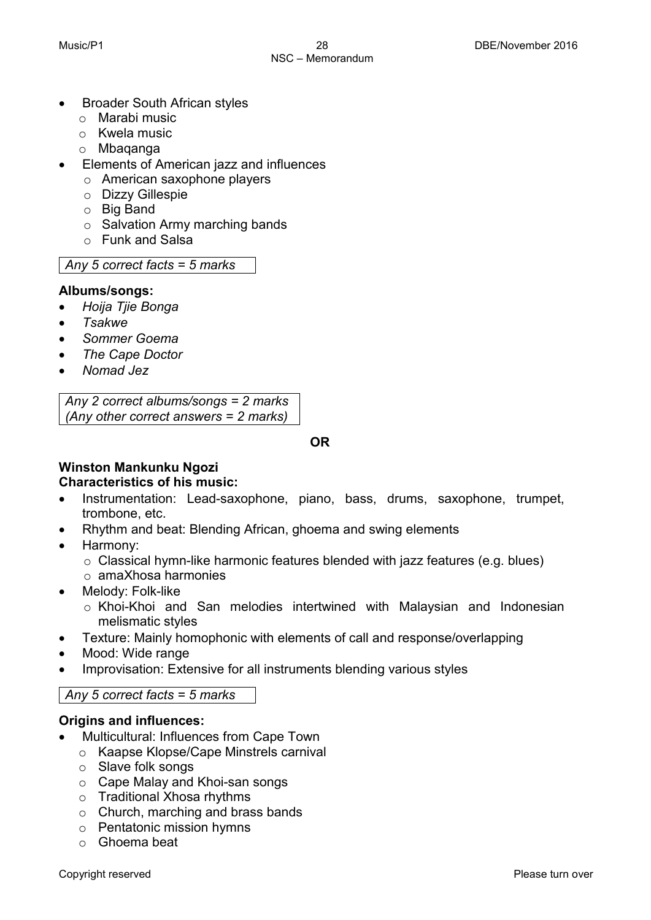- Broader South African styles
	- o Marabi music
	- o Kwela music
	- o Mbaqanga
- Elements of American jazz and influences
	- o American saxophone players
	- o Dizzy Gillespie
	- o Big Band
	- o Salvation Army marching bands
	- o Funk and Salsa

*Any 5 correct facts = 5 marks*

#### **Albums/songs:**

- *Hoija Tjie Bonga*
- *Tsakwe*
- *Sommer Goema*
- *The Cape Doctor*
- *Nomad Jez*

*Any 2 correct albums/songs = 2 marks (Any other correct answers = 2 marks)*

**OR**

#### **Winston Mankunku Ngozi Characteristics of his music:**

- Instrumentation: Lead-saxophone, piano, bass, drums, saxophone, trumpet, trombone, etc.
- Rhythm and beat: Blending African, ghoema and swing elements
- Harmony:
	- o Classical hymn-like harmonic features blended with jazz features (e.g. blues)
	- o amaXhosa harmonies
- Melody: Folk-like
	- o Khoi-Khoi and San melodies intertwined with Malaysian and Indonesian melismatic styles
- Texture: Mainly homophonic with elements of call and response/overlapping
- Mood: Wide range
- Improvisation: Extensive for all instruments blending various styles

#### *Any 5 correct facts = 5 marks*

#### **Origins and influences:**

- Multicultural: Influences from Cape Town
	- o Kaapse Klopse/Cape Minstrels carnival
	- o Slave folk songs
	- o Cape Malay and Khoi-san songs
	- o Traditional Xhosa rhythms
	- o Church, marching and brass bands
	- o Pentatonic mission hymns
	- o Ghoema beat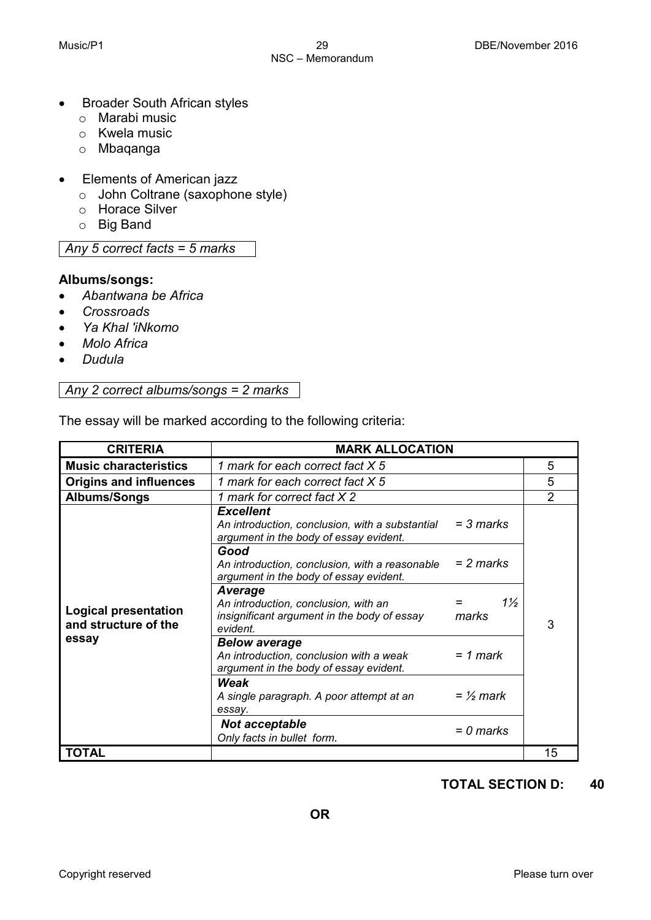- Broader South African styles
	- o Marabi music
	- o Kwela music
	- o Mbaqanga
- Elements of American jazz
	- o John Coltrane (saxophone style)
	- o Horace Silver
	- o Big Band

*Any 5 correct facts = 5 marks*

#### **Albums/songs:**

- *Abantwana be Africa*
- *Crossroads*
- *Ya Khal 'iNkomo*
- *Molo Africa*
- *Dudula*

*Any 2 correct albums/songs = 2 marks*

The essay will be marked according to the following criteria:

| <b>CRITERIA</b>                                     | <b>MARK ALLOCATION</b>                                                                                            |              |                |
|-----------------------------------------------------|-------------------------------------------------------------------------------------------------------------------|--------------|----------------|
| <b>Music characteristics</b>                        | 1 mark for each correct fact X 5                                                                                  |              | 5              |
| <b>Origins and influences</b>                       | 1 mark for each correct fact X 5                                                                                  |              | 5              |
| Albums/Songs                                        | 1 mark for correct fact X 2                                                                                       |              | $\overline{2}$ |
|                                                     | <b>Excellent</b><br>An introduction, conclusion, with a substantial<br>argument in the body of essay evident.     | $=$ 3 marks  |                |
|                                                     | Good<br>An introduction, conclusion, with a reasonable<br>argument in the body of essay evident.                  | = 2 marks    |                |
| <b>Logical presentation</b><br>and structure of the | <b>Average</b><br>An introduction, conclusion, with an<br>insignificant argument in the body of essay<br>evident. | 1½<br>marks  | 3              |
| essay                                               | <b>Below average</b><br>An introduction, conclusion with a weak<br>argument in the body of essay evident.         | $= 1$ mark   |                |
|                                                     | Weak<br>A single paragraph. A poor attempt at an<br>essay.                                                        | $=$ 1/2 mark |                |
|                                                     | <b>Not acceptable</b><br>Only facts in bullet form.                                                               | = 0 marks    |                |
| TOTAL                                               |                                                                                                                   |              | 15             |

**TOTAL SECTION D: 40**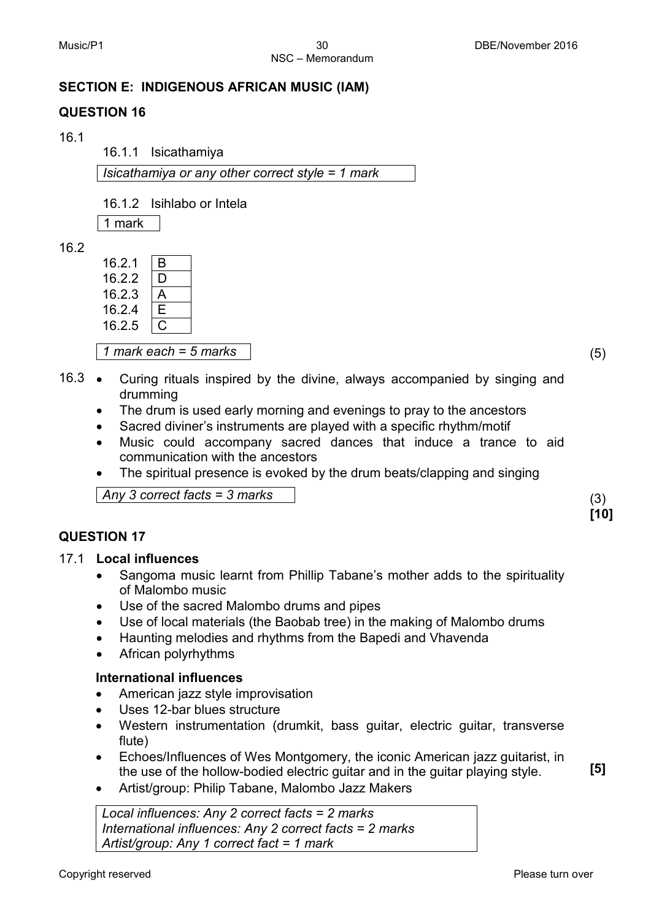#### **SECTION E: INDIGENOUS AFRICAN MUSIC (IAM)**

#### **QUESTION 16**

16.1

16.1.1 Isicathamiya

*Isicathamiya or any other correct style = 1 mark*

16.1.2 Isihlabo or Intela

1 mark

16.2

| 16.2.1 | B  |
|--------|----|
| 16.2.2 | I) |
| 16.2.3 | А  |
| 16.2.4 | F  |
| 16.2.5 |    |

*1 mark each = 5 marks* (5)

**[10]**

**[5]**

- 16.3 Curing rituals inspired by the divine, always accompanied by singing and drumming
	- The drum is used early morning and evenings to pray to the ancestors
	- Sacred diviner's instruments are played with a specific rhythm/motif
	- Music could accompany sacred dances that induce a trance to aid communication with the ancestors
	- The spiritual presence is evoked by the drum beats/clapping and singing

*Any 3 correct facts = 3 marks* (3)

#### **QUESTION 17**

#### 17.1 **Local influences**

- Sangoma music learnt from Phillip Tabane's mother adds to the spirituality of Malombo music
- Use of the sacred Malombo drums and pipes
- Use of local materials (the Baobab tree) in the making of Malombo drums
- Haunting melodies and rhythms from the Bapedi and Vhavenda
- African polyrhythms

#### **International influences**

- American jazz style improvisation
- Uses 12-bar blues structure
- Western instrumentation (drumkit, bass guitar, electric guitar, transverse flute)
- Echoes/Influences of Wes Montgomery, the iconic American jazz guitarist, in the use of the hollow-bodied electric guitar and in the guitar playing style.
- Artist/group: Philip Tabane, Malombo Jazz Makers

*Local influences: Any 2 correct facts = 2 marks International influences: Any 2 correct facts = 2 marks Artist/group: Any 1 correct fact = 1 mark*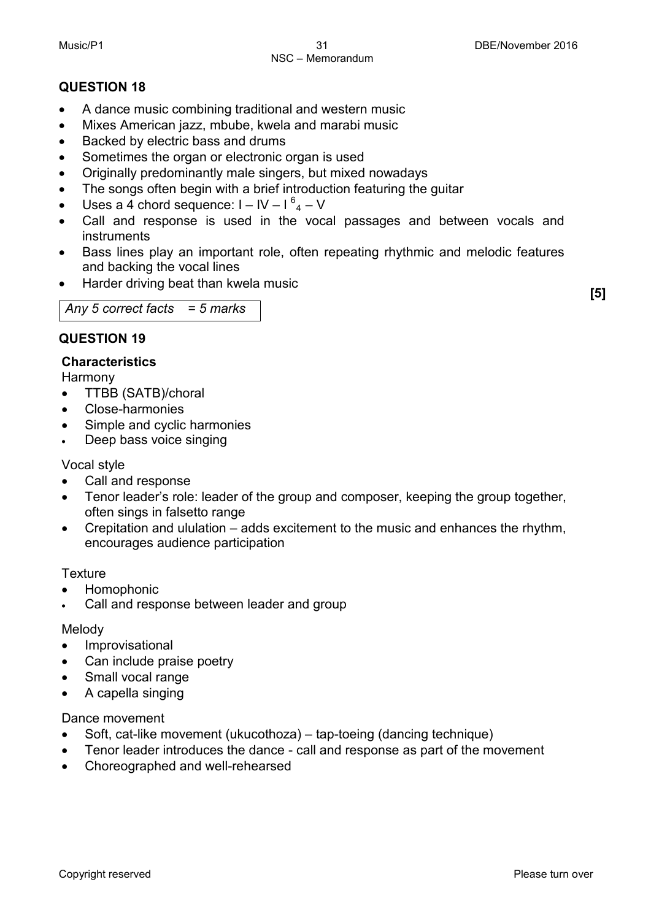### **QUESTION 18**

- A dance music combining traditional and western music
- Mixes American jazz, mbube, kwela and marabi music
- Backed by electric bass and drums
- Sometimes the organ or electronic organ is used
- Originally predominantly male singers, but mixed nowadays
- The songs often begin with a brief introduction featuring the guitar
- Uses a 4 chord sequence:  $I IV I^6$ <sub>4</sub> V
- Call and response is used in the vocal passages and between vocals and instruments
- Bass lines play an important role, often repeating rhythmic and melodic features and backing the vocal lines
- Harder driving beat than kwela music **[5]**

# *Any 5 correct facts = 5 marks*

## **QUESTION 19**

### **Characteristics**

Harmony

- TTBB (SATB)/choral
- Close-harmonies
- Simple and cyclic harmonies
- Deep bass voice singing

Vocal style

- Call and response
- Tenor leader's role: leader of the group and composer, keeping the group together, often sings in falsetto range
- Crepitation and ululation adds excitement to the music and enhances the rhythm, encourages audience participation

#### **Texture**

- Homophonic
- Call and response between leader and group

#### Melody

- Improvisational
- Can include praise poetry
- Small vocal range
- A capella singing

#### Dance movement

- Soft, cat-like movement (ukucothoza) tap-toeing (dancing technique)
- Tenor leader introduces the dance call and response as part of the movement
- Choreographed and well-rehearsed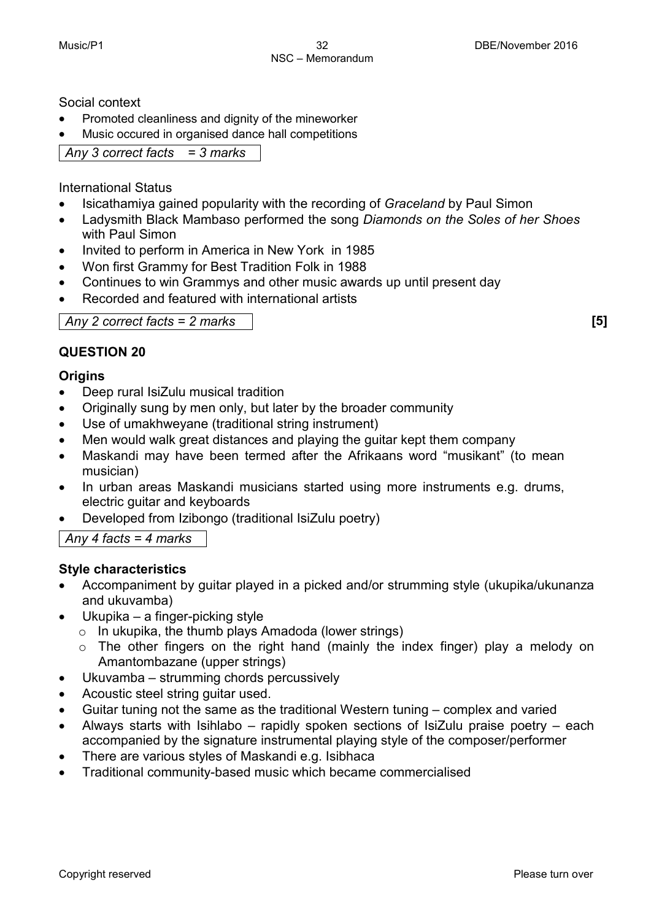Social context

- Promoted cleanliness and dignity of the mineworker
- Music occured in organised dance hall competitions

*Any 3 correct facts = 3 marks*

International Status

- Isicathamiya gained popularity with the recording of *Graceland* by Paul Simon
- Ladysmith Black Mambaso performed the song *Diamonds on the Soles of her Shoes*  with Paul Simon
- Invited to perform in America in New York in 1985
- Won first Grammy for Best Tradition Folk in 1988
- Continues to win Grammys and other music awards up until present day
- Recorded and featured with international artists

| Any 2 correct facts $= 2$ marks |  |
|---------------------------------|--|
|---------------------------------|--|

#### **QUESTION 20**

#### **Origins**

- Deep rural IsiZulu musical tradition
- Originally sung by men only, but later by the broader community
- Use of umakhweyane (traditional string instrument)
- Men would walk great distances and playing the guitar kept them company
- Maskandi may have been termed after the Afrikaans word "musikant" (to mean musician)
- In urban areas Maskandi musicians started using more instruments e.g. drums, electric guitar and keyboards
- Developed from Izibongo (traditional IsiZulu poetry)

*Any 4 facts = 4 marks*

#### **Style characteristics**

- Accompaniment by guitar played in a picked and/or strumming style (ukupika/ukunanza and ukuvamba)
- Ukupika a finger-picking style
	- o In ukupika, the thumb plays Amadoda (lower strings)
	- o The other fingers on the right hand (mainly the index finger) play a melody on Amantombazane (upper strings)
- Ukuvamba strumming chords percussively
- Acoustic steel string guitar used.
- Guitar tuning not the same as the traditional Western tuning complex and varied
- Always starts with Isihlabo rapidly spoken sections of IsiZulu praise poetry each accompanied by the signature instrumental playing style of the composer/performer
- There are various styles of Maskandi e.g. Isibhaca
- Traditional community-based music which became commercialised